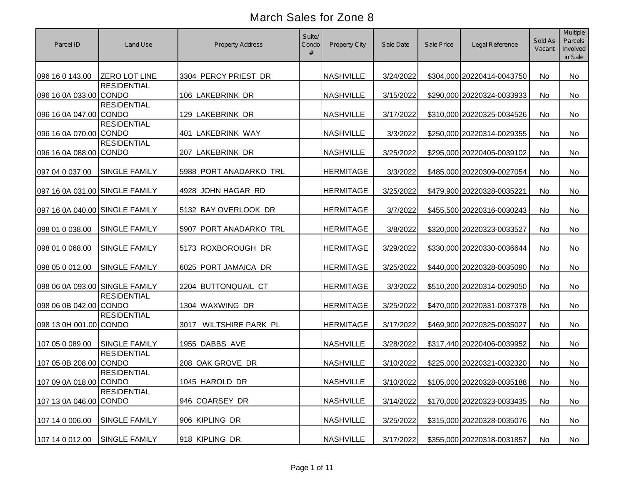| Parcel ID                      | Land Use             | Property Address          | Suite/<br>Condo<br># | <b>Property City</b> | Sale Date | Sale Price | Legal Reference            | Sold As<br>Vacant | <b>Multiple</b><br>Parcels<br>Involved<br>in Sale |
|--------------------------------|----------------------|---------------------------|----------------------|----------------------|-----------|------------|----------------------------|-------------------|---------------------------------------------------|
| 096 16 0 143.00                | <b>ZERO LOT LINE</b> | 3304 PERCY PRIEST DR      |                      | <b>NASHVILLE</b>     | 3/24/2022 |            | \$304,000 20220414-0043750 | No                | <b>No</b>                                         |
| 096 16 0A 033.00 CONDO         | <b>RESIDENTIAL</b>   | 106 LAKEBRINK DR          |                      | <b>NASHVILLE</b>     | 3/15/2022 |            | \$290,000 20220324-0033933 | No                | No                                                |
| 096 16 0A 047.00 CONDO         | <b>RESIDENTIAL</b>   | 129 LAKEBRINK DR          |                      | <b>NASHVILLE</b>     | 3/17/2022 |            | \$310,000 20220325-0034526 | No                | No                                                |
| 096 16 0A 070.00 CONDO         | <b>RESIDENTIAL</b>   | 401 LAKEBRINK WAY         |                      | <b>NASHVILLE</b>     | 3/3/2022  |            | \$250,000 20220314-0029355 | No                | No                                                |
| 096 16 0A 088.00 CONDO         | <b>RESIDENTIAL</b>   | 207 LAKEBRINK DR          |                      | <b>NASHVILLE</b>     | 3/25/2022 |            | \$295,000 20220405-0039102 | No                | No                                                |
| 097 04 0 037.00                | <b>SINGLE FAMILY</b> | 5988 PORT ANADARKO TRL    |                      | <b>HERMITAGE</b>     | 3/3/2022  |            | \$485,000 20220309-0027054 | No                | No                                                |
| 097 16 0A 031.00 SINGLE FAMILY |                      | 4928 JOHN HAGAR RD        |                      | <b>HERMITAGE</b>     | 3/25/2022 |            | \$479,900 20220328-0035221 | No                | No                                                |
| 097 16 0A 040.00 SINGLE FAMILY |                      | 5132 BAY OVERLOOK DR      |                      | <b>HERMITAGE</b>     | 3/7/2022  |            | \$455,500 20220316-0030243 | No                | No                                                |
| 098 01 0 038.00                | <b>SINGLE FAMILY</b> | 5907 PORT ANADARKO TRL    |                      | <b>HERMITAGE</b>     | 3/8/2022  |            | \$320,000 20220323-0033527 | No                | No                                                |
| 098 01 0 068.00                | <b>SINGLE FAMILY</b> | 5173 ROXBOROUGH DR        |                      | <b>HERMITAGE</b>     | 3/29/2022 |            | \$330,000 20220330-0036644 | <b>No</b>         | <b>No</b>                                         |
| 098 05 0 012.00                | <b>SINGLE FAMILY</b> | 6025 PORT JAMAICA DR      |                      | <b>HERMITAGE</b>     | 3/25/2022 |            | \$440,000 20220328-0035090 | No                | No                                                |
| 098 06 0A 093.00 SINGLE FAMILY |                      | 2204 BUTTONQUAIL CT       |                      | <b>HERMITAGE</b>     | 3/3/2022  |            | \$510,200 20220314-0029050 | No                | No                                                |
| 098 06 0B 042.00 CONDO         | <b>RESIDENTIAL</b>   | 1304 WAXWING DR           |                      | <b>HERMITAGE</b>     | 3/25/2022 |            | \$470,000 20220331-0037378 | <b>No</b>         | <b>No</b>                                         |
| 098 13 0H 001.00 CONDO         | <b>RESIDENTIAL</b>   | WILTSHIRE PARK PL<br>3017 |                      | <b>HERMITAGE</b>     | 3/17/2022 |            | \$469,900 20220325-0035027 | No                | No                                                |
| 107 05 0 089.00                | <b>SINGLE FAMILY</b> | 1955 DABBS AVE            |                      | <b>NASHVILLE</b>     | 3/28/2022 |            | \$317,440 20220406-0039952 | No                | No                                                |
| 107 05 0B 208.00 CONDO         | <b>RESIDENTIAL</b>   | 208 OAK GROVE DR          |                      | <b>NASHVILLE</b>     | 3/10/2022 |            | \$225,000 20220321-0032320 | No                | No                                                |
| 107 09 0A 018.00 CONDO         | <b>RESIDENTIAL</b>   | 1045 HAROLD DR            |                      | <b>NASHVILLE</b>     | 3/10/2022 |            | \$105,000 20220328-0035188 | No                | No                                                |
| 107 13 0A 046.00 CONDO         | <b>RESIDENTIAL</b>   | 946 COARSEY DR            |                      | <b>NASHVILLE</b>     | 3/14/2022 |            | \$170,000 20220323-0033435 | No                | No                                                |
| 107 14 0 006.00                | <b>SINGLE FAMILY</b> | 906 KIPLING DR            |                      | <b>NASHVILLE</b>     | 3/25/2022 |            | \$315,000 20220328-0035076 | No                | No                                                |
| 107 14 0 012.00                | <b>SINGLE FAMILY</b> | 918 KIPLING DR            |                      | <b>NASHVILLE</b>     | 3/17/2022 |            | \$355,000 20220318-0031857 | No                | No                                                |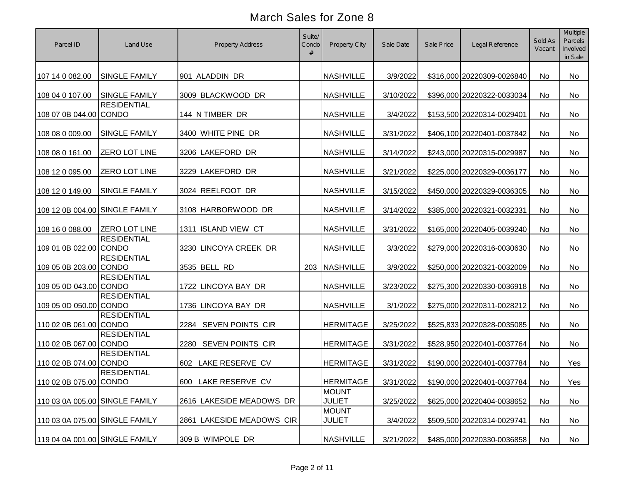| Parcel ID                      | Land Use             | <b>Property Address</b>   | Suite/<br>Condo | <b>Property City</b>          | Sale Date | Sale Price | Legal Reference            | Sold As<br>Vacant | <b>Multiple</b><br>Parcels<br>Involved<br>in Sale |
|--------------------------------|----------------------|---------------------------|-----------------|-------------------------------|-----------|------------|----------------------------|-------------------|---------------------------------------------------|
| 107 14 0 082.00                | <b>SINGLE FAMILY</b> | 901 ALADDIN DR            |                 | <b>NASHVILLE</b>              | 3/9/2022  |            | \$316,000 20220309-0026840 | No                | No                                                |
| 108 04 0 107.00                | <b>SINGLE FAMILY</b> | 3009 BLACKWOOD DR         |                 | <b>NASHVILLE</b>              | 3/10/2022 |            | \$396,000 20220322-0033034 | No                | No                                                |
| 108 07 0B 044.00 CONDO         | <b>RESIDENTIAL</b>   | 144 N TIMBER DR           |                 | <b>NASHVILLE</b>              | 3/4/2022  |            | \$153,500 20220314-0029401 | No                | No                                                |
| 108 08 0 009.00                | <b>SINGLE FAMILY</b> | 3400 WHITE PINE DR        |                 | <b>NASHVILLE</b>              | 3/31/2022 |            | \$406,100 20220401-0037842 | No                | No                                                |
| 108 08 0 161.00                | <b>ZERO LOT LINE</b> | 3206 LAKEFORD DR          |                 | <b>NASHVILLE</b>              | 3/14/2022 |            | \$243,000 20220315-0029987 | No                | <b>No</b>                                         |
| 108 12 0 095.00                | <b>ZERO LOT LINE</b> | 3229 LAKEFORD DR          |                 | <b>NASHVILLE</b>              | 3/21/2022 |            | \$225,000 20220329-0036177 | No                | <b>No</b>                                         |
| 108 12 0 149.00                | <b>SINGLE FAMILY</b> | 3024 REELFOOT DR          |                 | <b>NASHVILLE</b>              | 3/15/2022 |            | \$450,000 20220329-0036305 | No                | No                                                |
| 108 12 0B 004.00 SINGLE FAMILY |                      | 3108 HARBORWOOD DR        |                 | <b>NASHVILLE</b>              | 3/14/2022 |            | \$385,000 20220321-0032331 | No                | No                                                |
| 108 16 0 088.00                | <b>ZERO LOT LINE</b> | 1311 ISLAND VIEW CT       |                 | <b>NASHVILLE</b>              | 3/31/2022 |            | \$165,000 20220405-0039240 | No                | No                                                |
| 109 01 0B 022.00 CONDO         | <b>RESIDENTIAL</b>   | 3230 LINCOYA CREEK DR     |                 | <b>NASHVILLE</b>              | 3/3/2022  |            | \$279,000 20220316-0030630 | No                | No                                                |
| 109 05 0B 203.00 CONDO         | <b>RESIDENTIAL</b>   | 3535 BELL RD              | 203             | <b>NASHVILLE</b>              | 3/9/2022  |            | \$250,000 20220321-0032009 | No                | No                                                |
| 109 05 0D 043.00 CONDO         | <b>RESIDENTIAL</b>   | 1722 LINCOYA BAY DR       |                 | <b>NASHVILLE</b>              | 3/23/2022 |            | \$275,300 20220330-0036918 | No                | <b>No</b>                                         |
| 109 05 0D 050.00 CONDO         | <b>RESIDENTIAL</b>   | 1736 LINCOYA BAY DR       |                 | <b>NASHVILLE</b>              | 3/1/2022  |            | \$275,000 20220311-0028212 | No                | No                                                |
| 110 02 0B 061.00 CONDO         | <b>RESIDENTIAL</b>   | 2284 SEVEN POINTS CIR     |                 | <b>HERMITAGE</b>              | 3/25/2022 |            | \$525,833 20220328-0035085 | <b>No</b>         | No                                                |
| 110 02 0B 067.00 CONDO         | <b>RESIDENTIAL</b>   | 2280 SEVEN POINTS CIR     |                 | <b>HERMITAGE</b>              | 3/31/2022 |            | \$528,950 20220401-0037764 | <b>No</b>         | No                                                |
| 110 02 0B 074.00 CONDO         | <b>RESIDENTIAL</b>   | 602 LAKE RESERVE CV       |                 | <b>HERMITAGE</b>              | 3/31/2022 |            | \$190,000 20220401-0037784 | No                | Yes                                               |
| 110 02 0B 075.00 CONDO         | <b>RESIDENTIAL</b>   | 600 LAKE RESERVE CV       |                 | <b>HERMITAGE</b>              | 3/31/2022 |            | \$190,000 20220401-0037784 | No                | Yes                                               |
| 110 03 0A 005.00 SINGLE FAMILY |                      | 2616 LAKESIDE MEADOWS DR  |                 | <b>MOUNT</b><br><b>JULIET</b> | 3/25/2022 |            | \$625,000 20220404-0038652 | No                | No                                                |
| 110 03 0A 075.00 SINGLE FAMILY |                      | 2861 LAKESIDE MEADOWS CIR |                 | <b>MOUNT</b><br><b>JULIET</b> | 3/4/2022  |            | \$509,500 20220314-0029741 | No                | No                                                |
| 119 04 0A 001.00 SINGLE FAMILY |                      | 309 B WIMPOLE DR          |                 | <b>NASHVILLE</b>              | 3/21/2022 |            | \$485,000 20220330-0036858 | No                | No                                                |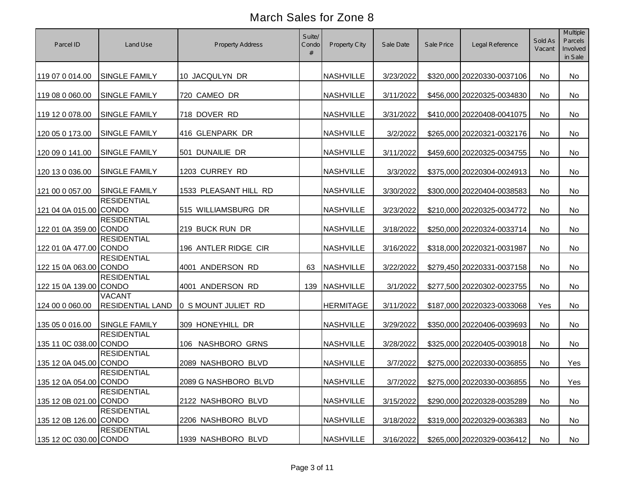| Parcel ID              | Land Use                                 | <b>Property Address</b> | Suite/<br>Condo<br># | Property City    | Sale Date | Sale Price | Legal Reference            | Sold As<br>Vacant | Multiple<br>Parcels<br>Involved<br>in Sale |
|------------------------|------------------------------------------|-------------------------|----------------------|------------------|-----------|------------|----------------------------|-------------------|--------------------------------------------|
| 119 07 0 014.00        | <b>SINGLE FAMILY</b>                     | 10 JACQULYN DR          |                      | <b>NASHVILLE</b> | 3/23/2022 |            | \$320,000 20220330-0037106 | No                | No                                         |
| 119 08 0 060.00        | SINGLE FAMILY                            | 720 CAMEO DR            |                      | <b>NASHVILLE</b> | 3/11/2022 |            | \$456,000 20220325-0034830 | No                | No                                         |
| 119 12 0 078.00        | <b>SINGLE FAMILY</b>                     | 718 DOVER RD            |                      | <b>NASHVILLE</b> | 3/31/2022 |            | \$410,000 20220408-0041075 | No                | No                                         |
| 120 05 0 173.00        | SINGLE FAMILY                            | 416 GLENPARK DR         |                      | <b>NASHVILLE</b> | 3/2/2022  |            | \$265,000 20220321-0032176 | No                | No                                         |
| 120 09 0 141.00        | SINGLE FAMILY                            | 501 DUNAILIE DR         |                      | <b>NASHVILLE</b> | 3/11/2022 |            | \$459,600 20220325-0034755 | No                | No                                         |
| 120 13 0 036.00        | SINGLE FAMILY                            | 1203 CURREY RD          |                      | <b>NASHVILLE</b> | 3/3/2022  |            | \$375,000 20220304-0024913 | No                | No                                         |
| 121 00 0 057.00        | <b>SINGLE FAMILY</b>                     | 1533 PLEASANT HILL RD   |                      | <b>NASHVILLE</b> | 3/30/2022 |            | \$300,000 20220404-0038583 | No                | No                                         |
| 121 04 0A 015.00 CONDO | <b>RESIDENTIAL</b>                       | 515 WILLIAMSBURG DR     |                      | <b>NASHVILLE</b> | 3/23/2022 |            | \$210,000 20220325-0034772 | No                | No                                         |
| 122 01 0A 359.00 CONDO | <b>RESIDENTIAL</b>                       | 219 BUCK RUN DR         |                      | <b>NASHVILLE</b> | 3/18/2022 |            | \$250,000 20220324-0033714 | No                | No                                         |
| 122 01 0A 477.00 CONDO | <b>RESIDENTIAL</b>                       | 196 ANTLER RIDGE CIR    |                      | <b>NASHVILLE</b> | 3/16/2022 |            | \$318,000 20220321-0031987 | No                | No                                         |
| 122 15 0A 063.00 CONDO | <b>RESIDENTIAL</b>                       | 4001 ANDERSON RD        | 63                   | <b>NASHVILLE</b> | 3/22/2022 |            | \$279,450 20220331-0037158 | No                | No                                         |
| 122 15 0A 139.00 CONDO | <b>RESIDENTIAL</b>                       | 4001 ANDERSON RD        | 139                  | <b>NASHVILLE</b> | 3/1/2022  |            | \$277,500 20220302-0023755 | No                | No                                         |
| 124 00 0 060.00        | <b>VACANT</b><br><b>RESIDENTIAL LAND</b> | 0 S MOUNT JULIET RD     |                      | <b>HERMITAGE</b> | 3/11/2022 |            | \$187,000 20220323-0033068 | Yes               | No                                         |
| 135 05 0 016.00        | <b>SINGLE FAMILY</b>                     | 309 HONEYHILL DR        |                      | <b>NASHVILLE</b> | 3/29/2022 |            | \$350,000 20220406-0039693 | No                | No                                         |
| 135 11 0C 038.00 CONDO | <b>RESIDENTIAL</b>                       | 106 NASHBORO GRNS       |                      | <b>NASHVILLE</b> | 3/28/2022 |            | \$325,000 20220405-0039018 | No                | No                                         |
| 135 12 0A 045.00 CONDO | <b>RESIDENTIAL</b>                       | 2089 NASHBORO BLVD      |                      | <b>NASHVILLE</b> | 3/7/2022  |            | \$275,000 20220330-0036855 | No                | Yes                                        |
| 135 12 0A 054.00 CONDO | <b>RESIDENTIAL</b>                       | 2089 G NASHBORO BLVD    |                      | NASHVILLE        | 3/7/2022  |            | \$275,000 20220330-0036855 | No                | Yes                                        |
| 135 12 0B 021.00 CONDO | <b>RESIDENTIAL</b>                       | 2122 NASHBORO BLVD      |                      | <b>NASHVILLE</b> | 3/15/2022 |            | \$290,000 20220328-0035289 | No                | No                                         |
| 135 12 0B 126.00 CONDO | <b>RESIDENTIAL</b>                       | 2206 NASHBORO BLVD      |                      | <b>NASHVILLE</b> | 3/18/2022 |            | \$319,000 20220329-0036383 | No                | No                                         |
| 135 12 0C 030.00 CONDO | <b>RESIDENTIAL</b>                       | 1939 NASHBORO BLVD      |                      | <b>NASHVILLE</b> | 3/16/2022 |            | \$265,000 20220329-0036412 | No                | No                                         |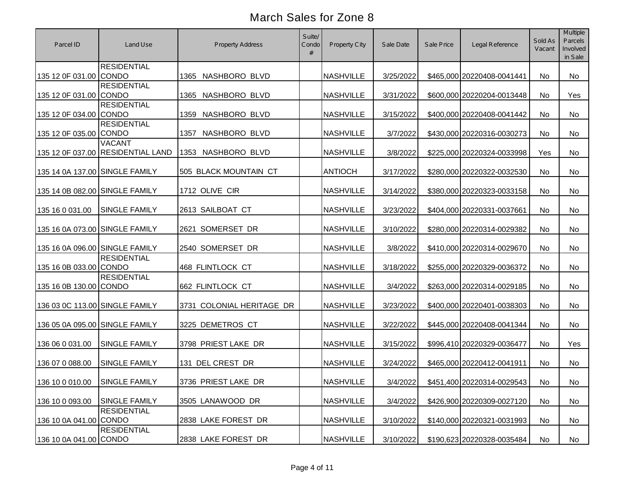| Parcel ID                      | Land Use                                           | <b>Property Address</b>   | Suite/<br>Condo<br># | Property City    | Sale Date | Sale Price | Legal Reference            | Sold As<br>Vacant | Multiple<br>Parcels<br>Involved<br>in Sale |
|--------------------------------|----------------------------------------------------|---------------------------|----------------------|------------------|-----------|------------|----------------------------|-------------------|--------------------------------------------|
| 135 12 0F 031.00 CONDO         | <b>RESIDENTIAL</b>                                 | 1365 NASHBORO BLVD        |                      | <b>NASHVILLE</b> | 3/25/2022 |            | \$465,000 20220408-0041441 | No                | No                                         |
| 135 12 0F 031.00 CONDO         | <b>RESIDENTIAL</b>                                 | NASHBORO BLVD<br>1365     |                      | <b>NASHVILLE</b> | 3/31/2022 |            | \$600,000 20220204-0013448 | No                | Yes                                        |
| 135 12 0F 034.00 CONDO         | <b>RESIDENTIAL</b>                                 | NASHBORO BLVD<br>1359     |                      | <b>NASHVILLE</b> | 3/15/2022 |            | \$400,000 20220408-0041442 | No                | No                                         |
| 135 12 0F 035.00 CONDO         | <b>RESIDENTIAL</b>                                 | NASHBORO BLVD<br>1357     |                      | <b>NASHVILLE</b> | 3/7/2022  |            | \$430,000 20220316-0030273 | No                | No                                         |
|                                | <b>VACANT</b><br>135 12 0F 037.00 RESIDENTIAL LAND | 1353<br>NASHBORO BLVD     |                      | <b>NASHVILLE</b> | 3/8/2022  |            | \$225,000 20220324-0033998 | Yes               | No                                         |
| 135 14 0A 137.00 SINGLE FAMILY |                                                    | 505 BLACK MOUNTAIN CT     |                      | <b>ANTIOCH</b>   | 3/17/2022 |            | \$280,000 20220322-0032530 | No                | No                                         |
| 135 14 0B 082.00 SINGLE FAMILY |                                                    | 1712 OLIVE CIR            |                      | <b>NASHVILLE</b> | 3/14/2022 |            | \$380,000 20220323-0033158 | No                | No                                         |
| 135 16 0 031.00                | <b>SINGLE FAMILY</b>                               | 2613 SAILBOAT CT          |                      | <b>NASHVILLE</b> | 3/23/2022 |            | \$404,000 20220331-0037661 | No                | No                                         |
| 135 16 0A 073.00 SINGLE FAMILY |                                                    | 2621 SOMERSET DR          |                      | <b>NASHVILLE</b> | 3/10/2022 |            | \$280,000 20220314-0029382 | No                | No                                         |
| 135 16 0A 096.00 SINGLE FAMILY |                                                    | 2540 SOMERSET DR          |                      | <b>NASHVILLE</b> | 3/8/2022  |            | \$410,000 20220314-0029670 | No                | No                                         |
| 135 16 0B 033.00 CONDO         | <b>RESIDENTIAL</b>                                 | 468 FLINTLOCK CT          |                      | <b>NASHVILLE</b> | 3/18/2022 |            | \$255,000 20220329-0036372 | No                | No                                         |
| 135 16 0B 130.00 CONDO         | <b>RESIDENTIAL</b>                                 | 662 FLINTLOCK CT          |                      | <b>NASHVILLE</b> | 3/4/2022  |            | \$263,000 20220314-0029185 | No                | No                                         |
| 136 03 0C 113.00 SINGLE FAMILY |                                                    | 3731 COLONIAL HERITAGE DR |                      | <b>NASHVILLE</b> | 3/23/2022 |            | \$400,000 20220401-0038303 | No                | No                                         |
| 136 05 0A 095.00 SINGLE FAMILY |                                                    | 3225 DEMETROS CT          |                      | <b>NASHVILLE</b> | 3/22/2022 |            | \$445,000 20220408-0041344 | No                | No                                         |
| 136 06 0 031.00                | SINGLE FAMILY                                      | 3798 PRIEST LAKE DR       |                      | <b>NASHVILLE</b> | 3/15/2022 |            | \$996,410 20220329-0036477 | No                | Yes                                        |
| 136 07 0 088.00                | <b>SINGLE FAMILY</b>                               | 131 DEL CREST DR          |                      | <b>NASHVILLE</b> | 3/24/2022 |            | \$465,000 20220412-0041911 | No                | No                                         |
| 136 10 0 010.00 SINGLE FAMILY  |                                                    | 3736 PRIEST LAKE DR       |                      | <b>NASHVILLE</b> | 3/4/2022  |            | \$451,400 20220314-0029543 | No                | No                                         |
| 136 10 0 093.00                | SINGLE FAMILY                                      | 3505 LANAWOOD DR          |                      | <b>NASHVILLE</b> | 3/4/2022  |            | \$426,900 20220309-0027120 | No                | No                                         |
| 136 10 0A 041.00 CONDO         | <b>RESIDENTIAL</b>                                 | 2838 LAKE FOREST DR       |                      | <b>NASHVILLE</b> | 3/10/2022 |            | \$140,000 20220321-0031993 | No                | No                                         |
| 136 10 0A 041.00 CONDO         | <b>RESIDENTIAL</b>                                 | 2838 LAKE FOREST DR       |                      | <b>NASHVILLE</b> | 3/10/2022 |            | \$190,623 20220328-0035484 | No                | No                                         |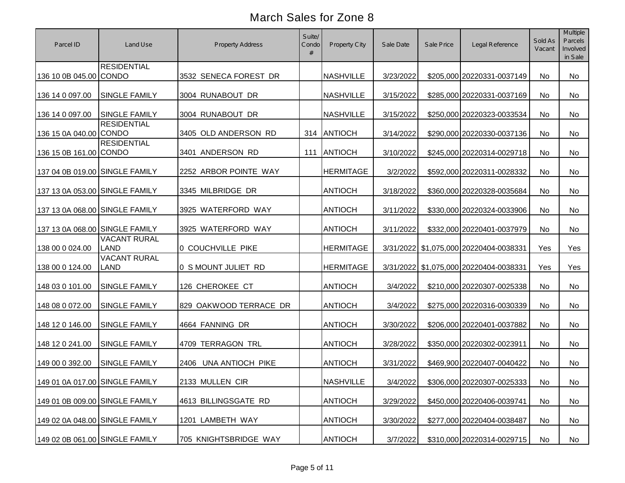| Parcel ID                      | Land Use                           | Property Address       | Suite/<br>Condo | <b>Property City</b> | Sale Date | Sale Price | Legal Reference                        | Sold As<br>Vacant | <b>Multiple</b><br>Parcels<br>Involved<br>in Sale |
|--------------------------------|------------------------------------|------------------------|-----------------|----------------------|-----------|------------|----------------------------------------|-------------------|---------------------------------------------------|
| 136 10 0B 045.00 CONDO         | <b>RESIDENTIAL</b>                 | 3532 SENECA FOREST DR  |                 | <b>NASHVILLE</b>     | 3/23/2022 |            | \$205,000 20220331-0037149             | No                | No                                                |
| 136 14 0 097.00                | <b>SINGLE FAMILY</b>               | 3004 RUNABOUT DR       |                 | <b>NASHVILLE</b>     | 3/15/2022 |            | \$285,000 20220331-0037169             | No                | No                                                |
| 136 14 0 097.00                | <b>SINGLE FAMILY</b>               | 3004 RUNABOUT DR       |                 | <b>NASHVILLE</b>     | 3/15/2022 |            | \$250,000 20220323-0033534             | No                | No                                                |
| 136 15 0A 040.00 CONDO         | <b>RESIDENTIAL</b>                 | 3405 OLD ANDERSON RD   | 314             | ANTIOCH              | 3/14/2022 |            | \$290,000 20220330-0037136             | No                | No                                                |
| 136 15 0B 161.00 CONDO         | <b>RESIDENTIAL</b>                 | 3401 ANDERSON RD       | 111             | <b>ANTIOCH</b>       | 3/10/2022 |            | \$245,000 20220314-0029718             | No                | <b>No</b>                                         |
| 137 04 0B 019.00 SINGLE FAMILY |                                    | 2252 ARBOR POINTE WAY  |                 | <b>HERMITAGE</b>     | 3/2/2022  |            | \$592,000 20220311-0028332             | No                | <b>No</b>                                         |
| 137 13 0A 053.00 SINGLE FAMILY |                                    | 3345 MILBRIDGE DR      |                 | <b>ANTIOCH</b>       | 3/18/2022 |            | \$360,000 20220328-0035684             | No                | <b>No</b>                                         |
| 137 13 0A 068.00 SINGLE FAMILY |                                    | 3925 WATERFORD WAY     |                 | <b>ANTIOCH</b>       | 3/11/2022 |            | \$330,000 20220324-0033906             | No                | <b>No</b>                                         |
| 137 13 0A 068.00 SINGLE FAMILY |                                    | 3925 WATERFORD WAY     |                 | <b>ANTIOCH</b>       | 3/11/2022 |            | \$332,000 20220401-0037979             | No                | <b>No</b>                                         |
| 138 00 0 024.00                | <b>VACANT RURAL</b><br><b>LAND</b> | 0 COUCHVILLE PIKE      |                 | <b>HERMITAGE</b>     | 3/31/2022 |            | \$1,075,000 20220404-0038331           | Yes               | Yes                                               |
| 138 00 0 124.00                | <b>VACANT RURAL</b><br><b>LAND</b> | 0 S MOUNT JULIET RD    |                 | <b>HERMITAGE</b>     |           |            | 3/31/2022 \$1,075,000 20220404-0038331 | Yes               | Yes                                               |
| 148 03 0 101.00                | SINGLE FAMILY                      | 126 CHEROKEE CT        |                 | <b>ANTIOCH</b>       | 3/4/2022  |            | \$210,000 20220307-0025338             | No                | <b>No</b>                                         |
| 148 08 0 072.00                | <b>SINGLE FAMILY</b>               | 829 OAKWOOD TERRACE DR |                 | <b>ANTIOCH</b>       | 3/4/2022  |            | \$275,000 20220316-0030339             | No                | No                                                |
| 148 12 0 146.00                | SINGLE FAMILY                      | 4664 FANNING DR        |                 | <b>ANTIOCH</b>       | 3/30/2022 |            | \$206,000 20220401-0037882             | No                | No                                                |
| 148 12 0 241.00                | <b>SINGLE FAMILY</b>               | 4709 TERRAGON TRL      |                 | <b>ANTIOCH</b>       | 3/28/2022 |            | \$350,000 20220302-0023911             | No                | <b>No</b>                                         |
| 149 00 0 392.00                | <b>SINGLE FAMILY</b>               | 2406 UNA ANTIOCH PIKE  |                 | <b>ANTIOCH</b>       | 3/31/2022 |            | \$469,900 20220407-0040422             | No                | No                                                |
| 149 01 0A 017.00 SINGLE FAMILY |                                    | 2133 MULLEN CIR        |                 | <b>NASHVILLE</b>     | 3/4/2022  |            | \$306,000 20220307-0025333             | No                | No                                                |
| 149 01 0B 009.00 SINGLE FAMILY |                                    | 4613 BILLINGSGATE RD   |                 | <b>ANTIOCH</b>       | 3/29/2022 |            | \$450,000 20220406-0039741             | No                | No                                                |
| 149 02 0A 048.00 SINGLE FAMILY |                                    | 1201 LAMBETH WAY       |                 | <b>ANTIOCH</b>       | 3/30/2022 |            | \$277,000 20220404-0038487             | No                | No                                                |
| 149 02 0B 061.00 SINGLE FAMILY |                                    | 705 KNIGHTSBRIDGE WAY  |                 | <b>ANTIOCH</b>       | 3/7/2022  |            | \$310,000 20220314-0029715             | No                | No                                                |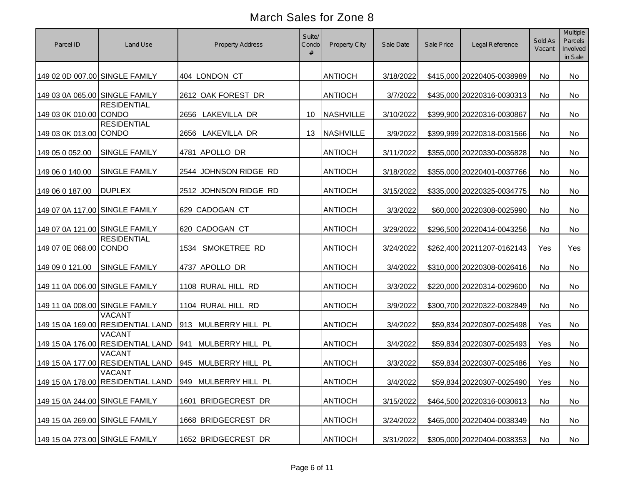| Parcel ID                      | Land Use                                           | <b>Property Address</b>                                | Suite/<br>Condo<br># | Property City    | Sale Date | Sale Price | Legal Reference            | Sold As<br>Vacant | Multiple<br>Parcels<br>Involved<br>in Sale |
|--------------------------------|----------------------------------------------------|--------------------------------------------------------|----------------------|------------------|-----------|------------|----------------------------|-------------------|--------------------------------------------|
| 149 02 0D 007.00 SINGLE FAMILY |                                                    | 404 LONDON CT                                          |                      | <b>ANTIOCH</b>   | 3/18/2022 |            | \$415,000 20220405-0038989 | No                | No                                         |
| 149 03 0A 065.00 SINGLE FAMILY |                                                    | 2612 OAK FOREST DR                                     |                      | <b>ANTIOCH</b>   | 3/7/2022  |            | \$435,000 20220316-0030313 | No                | No                                         |
| 149 03 0K 010.00 CONDO         | <b>RESIDENTIAL</b>                                 | 2656 LAKEVILLA DR                                      | 10                   | <b>NASHVILLE</b> | 3/10/2022 |            | \$399,900 20220316-0030867 | No                | No                                         |
| 149 03 0K 013.00 CONDO         | <b>RESIDENTIAL</b>                                 | 2656 LAKEVILLA DR                                      | 13                   | <b>NASHVILLE</b> | 3/9/2022  |            | \$399,999 20220318-0031566 | No                | No                                         |
| 149 05 0 052.00                | SINGLE FAMILY                                      | 4781 APOLLO DR                                         |                      | <b>ANTIOCH</b>   | 3/11/2022 |            | \$355,000 20220330-0036828 | No                | No                                         |
| 149 06 0 140.00                | <b>SINGLE FAMILY</b>                               | 2544 JOHNSON RIDGE RD                                  |                      | <b>ANTIOCH</b>   | 3/18/2022 |            | \$355,000 20220401-0037766 | No                | No                                         |
| 149 06 0 187.00                | <b>DUPLEX</b>                                      | 2512 JOHNSON RIDGE RD                                  |                      | <b>ANTIOCH</b>   | 3/15/2022 |            | \$335,000 20220325-0034775 | No                | No                                         |
| 149 07 0A 117.00 SINGLE FAMILY |                                                    | 629 CADOGAN CT                                         |                      | <b>ANTIOCH</b>   | 3/3/2022  |            | \$60,000 20220308-0025990  | No                | No                                         |
| 149 07 0A 121.00 SINGLE FAMILY |                                                    | 620 CADOGAN CT                                         |                      | <b>ANTIOCH</b>   | 3/29/2022 |            | \$296,500 20220414-0043256 | No                | No                                         |
| 149 07 0E 068.00 CONDO         | <b>RESIDENTIAL</b>                                 | 1534 SMOKETREE RD                                      |                      | <b>ANTIOCH</b>   | 3/24/2022 |            | \$262,400 20211207-0162143 | Yes               | Yes                                        |
| 149 09 0 121.00                | <b>SINGLE FAMILY</b>                               | 4737 APOLLO DR                                         |                      | <b>ANTIOCH</b>   | 3/4/2022  |            | \$310,000 20220308-0026416 | No                | No                                         |
| 149 11 0A 006.00 SINGLE FAMILY |                                                    | 1108 RURAL HILL RD                                     |                      | <b>ANTIOCH</b>   | 3/3/2022  |            | \$220,000 20220314-0029600 | No                | No                                         |
| 149 11 0A 008.00 SINGLE FAMILY |                                                    | 1104 RURAL HILL RD                                     |                      | <b>ANTIOCH</b>   | 3/9/2022  |            | \$300,700 20220322-0032849 | No                | No                                         |
|                                | <b>VACANT</b><br>149 15 0A 169.00 RESIDENTIAL LAND | 913 MULBERRY HILL PL                                   |                      | <b>ANTIOCH</b>   | 3/4/2022  |            | \$59,834 20220307-0025498  | Yes               | No                                         |
|                                | <b>VACANT</b><br>149 15 0A 176.00 RESIDENTIAL LAND | MULBERRY HILL PL<br>941                                |                      | <b>ANTIOCH</b>   | 3/4/2022  |            | \$59,834 20220307-0025493  | Yes               | No                                         |
|                                | <b>VACANT</b><br>149 15 0A 177.00 RESIDENTIAL LAND | 945 MULBERRY HILL PL                                   |                      | <b>ANTIOCH</b>   | 3/3/2022  |            | \$59,834 20220307-0025486  | Yes               | No                                         |
|                                | <b>VACANT</b>                                      | 149 15 0A 178.00 RESIDENTIAL LAND 949 MULBERRY HILL PL |                      | <b>ANTIOCH</b>   | 3/4/2022  |            | \$59,834 20220307-0025490  | Yes               | No                                         |
| 149 15 0A 244.00 SINGLE FAMILY |                                                    | 1601 BRIDGECREST DR                                    |                      | <b>ANTIOCH</b>   | 3/15/2022 |            | \$464,500 20220316-0030613 | No                | No                                         |
| 149 15 0A 269.00 SINGLE FAMILY |                                                    | 1668 BRIDGECREST DR                                    |                      | <b>ANTIOCH</b>   | 3/24/2022 |            | \$465,000 20220404-0038349 | No                | No                                         |
| 149 15 0A 273.00 SINGLE FAMILY |                                                    | 1652 BRIDGECREST DR                                    |                      | <b>ANTIOCH</b>   | 3/31/2022 |            | \$305,000 20220404-0038353 | No                | No                                         |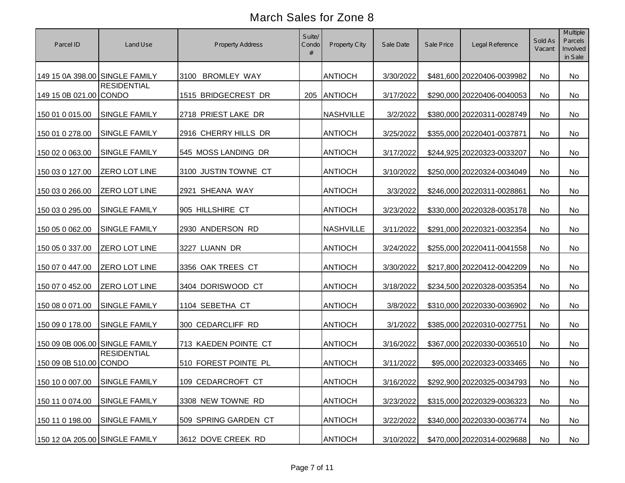| Parcel ID                      | Land Use             | <b>Property Address</b> | Suite/<br>Condo | <b>Property City</b> | Sale Date | Sale Price | Legal Reference            | Sold As<br>Vacant | Multiple<br>Parcels<br>Involved<br>in Sale |
|--------------------------------|----------------------|-------------------------|-----------------|----------------------|-----------|------------|----------------------------|-------------------|--------------------------------------------|
| 149 15 0A 398.00 SINGLE FAMILY |                      | 3100 BROMLEY WAY        |                 | <b>ANTIOCH</b>       | 3/30/2022 |            | \$481,600 20220406-0039982 | No                | No                                         |
| 149 15 0B 021.00 CONDO         | <b>RESIDENTIAL</b>   | 1515 BRIDGECREST DR     | 205             | <b>ANTIOCH</b>       | 3/17/2022 |            | \$290,000 20220406-0040053 | No                | No                                         |
| 150 01 0 015.00                | SINGLE FAMILY        | 2718 PRIEST LAKE DR     |                 | <b>NASHVILLE</b>     | 3/2/2022  |            | \$380,000 20220311-0028749 | No                | No                                         |
| 150 01 0 278.00                | SINGLE FAMILY        | 2916 CHERRY HILLS DR    |                 | <b>ANTIOCH</b>       | 3/25/2022 |            | \$355,000 20220401-0037871 | No                | No                                         |
| 150 02 0 063.00                | SINGLE FAMILY        | 545 MOSS LANDING DR     |                 | <b>ANTIOCH</b>       | 3/17/2022 |            | \$244,925 20220323-0033207 | No                | No                                         |
| 150 03 0 127.00                | <b>ZERO LOT LINE</b> | 3100 JUSTIN TOWNE CT    |                 | <b>ANTIOCH</b>       | 3/10/2022 |            | \$250,000 20220324-0034049 | No                | No                                         |
| 150 03 0 266.00                | <b>ZERO LOT LINE</b> | 2921 SHEANA WAY         |                 | <b>ANTIOCH</b>       | 3/3/2022  |            | \$246,000 20220311-0028861 | No                | No                                         |
| 150 03 0 295.00                | SINGLE FAMILY        | 905 HILLSHIRE CT        |                 | <b>ANTIOCH</b>       | 3/23/2022 |            | \$330,000 20220328-0035178 | No                | No                                         |
| 150 05 0 062.00                | SINGLE FAMILY        | 2930 ANDERSON RD        |                 | <b>NASHVILLE</b>     | 3/11/2022 |            | \$291,000 20220321-0032354 | No                | No                                         |
| 150 05 0 337.00                | ZERO LOT LINE        | 3227 LUANN DR           |                 | <b>ANTIOCH</b>       | 3/24/2022 |            | \$255,000 20220411-0041558 | No                | No                                         |
| 150 07 0 447.00                | ZERO LOT LINE        | 3356 OAK TREES CT       |                 | <b>ANTIOCH</b>       | 3/30/2022 |            | \$217,800 20220412-0042209 | No                | No                                         |
| 150 07 0 452.00                | ZERO LOT LINE        | 3404 DORISWOOD CT       |                 | <b>ANTIOCH</b>       | 3/18/2022 |            | \$234,500 20220328-0035354 | No                | No                                         |
| 150 08 0 071.00                | SINGLE FAMILY        | 1104 SEBETHA CT         |                 | <b>ANTIOCH</b>       | 3/8/2022  |            | \$310,000 20220330-0036902 | No                | No                                         |
| 150 09 0 178.00                | SINGLE FAMILY        | 300 CEDARCLIFF RD       |                 | <b>ANTIOCH</b>       | 3/1/2022  |            | \$385,000 20220310-0027751 | No                | No                                         |
| 150 09 0B 006.00 SINGLE FAMILY |                      | 713 KAEDEN POINTE CT    |                 | <b>ANTIOCH</b>       | 3/16/2022 |            | \$367,000 20220330-0036510 | No                | No                                         |
| 150 09 0B 510.00 CONDO         | <b>RESIDENTIAL</b>   | 510 FOREST POINTE PL    |                 | <b>ANTIOCH</b>       | 3/11/2022 |            | \$95,000 20220323-0033465  | No                | No                                         |
| 150 10 0 007.00 SINGLE FAMILY  |                      | 109 CEDARCROFT CT       |                 | <b>ANTIOCH</b>       | 3/16/2022 |            | \$292,900 20220325-0034793 | No                | No                                         |
| 150 11 0 074.00                | <b>SINGLE FAMILY</b> | 3308 NEW TOWNE RD       |                 | <b>ANTIOCH</b>       | 3/23/2022 |            | \$315,000 20220329-0036323 | No                | No                                         |
| 150 11 0 198.00                | <b>SINGLE FAMILY</b> | 509 SPRING GARDEN CT    |                 | <b>ANTIOCH</b>       | 3/22/2022 |            | \$340,000 20220330-0036774 | No                | No                                         |
| 150 12 0A 205.00 SINGLE FAMILY |                      | 3612 DOVE CREEK RD      |                 | <b>ANTIOCH</b>       | 3/10/2022 |            | \$470,000 20220314-0029688 | No                | No                                         |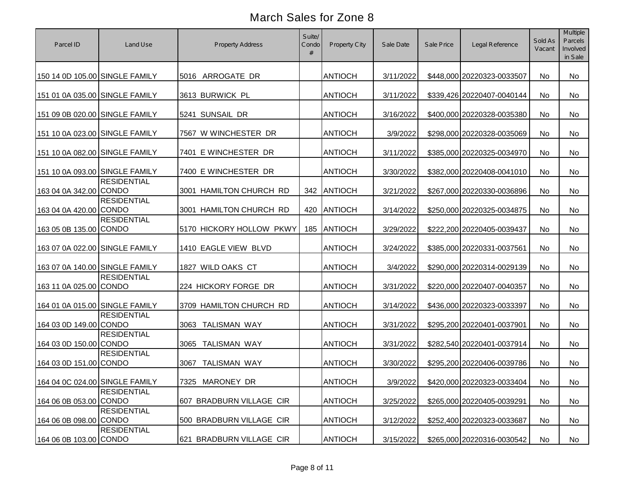| Parcel ID                      | Land Use           | <b>Property Address</b>     | Suite/<br>Condo<br># | Property City  | Sale Date | Sale Price | Legal Reference            | Sold As<br>Vacant | Multiple<br>Parcels<br>Involved<br>in Sale |
|--------------------------------|--------------------|-----------------------------|----------------------|----------------|-----------|------------|----------------------------|-------------------|--------------------------------------------|
| 150 14 0D 105.00 SINGLE FAMILY |                    | 5016 ARROGATE DR            |                      | <b>ANTIOCH</b> | 3/11/2022 |            | \$448,000 20220323-0033507 | No                | No                                         |
| 151 01 0A 035.00 SINGLE FAMILY |                    | 3613 BURWICK PL             |                      | <b>ANTIOCH</b> | 3/11/2022 |            | \$339,426 20220407-0040144 | No                | No                                         |
| 151 09 0B 020.00 SINGLE FAMILY |                    | 5241 SUNSAIL DR             |                      | <b>ANTIOCH</b> | 3/16/2022 |            | \$400,000 20220328-0035380 | No                | No                                         |
| 151 10 0A 023.00 SINGLE FAMILY |                    | 7567 W WINCHESTER DR        |                      | <b>ANTIOCH</b> | 3/9/2022  |            | \$298,000 20220328-0035069 | No                | No                                         |
| 151 10 0A 082.00 SINGLE FAMILY |                    | 7401 E WINCHESTER DR        |                      | <b>ANTIOCH</b> | 3/11/2022 |            | \$385,000 20220325-0034970 | No                | No                                         |
| 151 10 0A 093.00 SINGLE FAMILY |                    | 7400 E WINCHESTER DR        |                      | <b>ANTIOCH</b> | 3/30/2022 |            | \$382,000 20220408-0041010 | No                | No                                         |
| 163 04 0A 342.00 CONDO         | <b>RESIDENTIAL</b> | 3001 HAMILTON CHURCH RD     | 342                  | ANTIOCH        | 3/21/2022 |            | \$267,000 20220330-0036896 | No                | No                                         |
| 163 04 0A 420.00 CONDO         | <b>RESIDENTIAL</b> | 3001 HAMILTON CHURCH RD     | 420                  | <b>ANTIOCH</b> | 3/14/2022 |            | \$250,000 20220325-0034875 | No                | No                                         |
| 163 05 0B 135.00 CONDO         | <b>RESIDENTIAL</b> | 5170 HICKORY HOLLOW PKWY    | 185                  | <b>ANTIOCH</b> | 3/29/2022 |            | \$222,200 20220405-0039437 | No                | No                                         |
| 163 07 0A 022.00 SINGLE FAMILY |                    | 1410 EAGLE VIEW BLVD        |                      | <b>ANTIOCH</b> | 3/24/2022 |            | \$385,000 20220331-0037561 | No                | No                                         |
| 163 07 0A 140.00 SINGLE FAMILY |                    | 1827 WILD OAKS CT           |                      | <b>ANTIOCH</b> | 3/4/2022  |            | \$290,000 20220314-0029139 | No                | No                                         |
| 163 11 0A 025.00 CONDO         | <b>RESIDENTIAL</b> | 224 HICKORY FORGE DR        |                      | <b>ANTIOCH</b> | 3/31/2022 |            | \$220,000 20220407-0040357 | No                | No                                         |
| 164 01 0A 015.00 SINGLE FAMILY |                    | 3709 HAMILTON CHURCH RD     |                      | <b>ANTIOCH</b> | 3/14/2022 |            | \$436,000 20220323-0033397 | <b>No</b>         | No                                         |
| 164 03 0D 149.00 CONDO         | <b>RESIDENTIAL</b> | 3063 TALISMAN WAY           |                      | <b>ANTIOCH</b> | 3/31/2022 |            | \$295,200 20220401-0037901 | No                | No                                         |
| 164 03 0D 150.00 CONDO         | <b>RESIDENTIAL</b> | 3065<br><b>TALISMAN WAY</b> |                      | <b>ANTIOCH</b> | 3/31/2022 |            | \$282,540 20220401-0037914 | No                | No                                         |
| 164 03 0D 151.00 CONDO         | <b>RESIDENTIAL</b> | <b>TALISMAN WAY</b><br>3067 |                      | <b>ANTIOCH</b> | 3/30/2022 |            | \$295,200 20220406-0039786 | <b>No</b>         | No                                         |
| 164 04 0C 024.00 SINGLE FAMILY |                    | 7325 MARONEY DR             |                      | <b>ANTIOCH</b> | 3/9/2022  |            | \$420,000 20220323-0033404 | No                | No                                         |
| 164 06 0B 053.00 CONDO         | <b>RESIDENTIAL</b> | 607 BRADBURN VILLAGE CIR    |                      | <b>ANTIOCH</b> | 3/25/2022 |            | \$265,000 20220405-0039291 | No                | No                                         |
| 164 06 0B 098.00 CONDO         | <b>RESIDENTIAL</b> | 500 BRADBURN VILLAGE CIR    |                      | <b>ANTIOCH</b> | 3/12/2022 |            | \$252,400 20220323-0033687 | No                | No                                         |
| 164 06 0B 103.00 CONDO         | <b>RESIDENTIAL</b> | 621 BRADBURN VILLAGE CIR    |                      | <b>ANTIOCH</b> | 3/15/2022 |            | \$265,000 20220316-0030542 | No                | No                                         |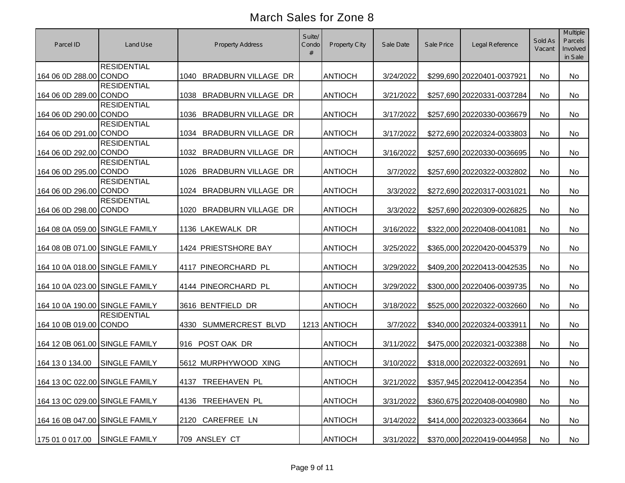| Parcel ID                      | Land Use             | <b>Property Address</b>            | Suite/<br>Condo<br># | <b>Property City</b> | Sale Date | Sale Price | Legal Reference            | Sold As<br>Vacant | Multiple<br>Parcels<br>Involved<br>in Sale |
|--------------------------------|----------------------|------------------------------------|----------------------|----------------------|-----------|------------|----------------------------|-------------------|--------------------------------------------|
| 164 06 0D 288.00 CONDO         | <b>RESIDENTIAL</b>   | 1040 BRADBURN VILLAGE DR           |                      | <b>ANTIOCH</b>       | 3/24/2022 |            | \$299,690 20220401-0037921 | No                | No                                         |
| 164 06 0D 289.00 CONDO         | <b>RESIDENTIAL</b>   | BRADBURN VILLAGE DR<br>1038        |                      | <b>ANTIOCH</b>       | 3/21/2022 |            | \$257,690 20220331-0037284 | No                | No                                         |
| 164 06 0D 290.00 CONDO         | <b>RESIDENTIAL</b>   | 1036 BRADBURN VILLAGE DR           |                      | <b>ANTIOCH</b>       | 3/17/2022 |            | \$257,690 20220330-0036679 | No                | No                                         |
| 164 06 0D 291.00 CONDO         | <b>RESIDENTIAL</b>   | <b>BRADBURN VILLAGE DR</b><br>1034 |                      | <b>ANTIOCH</b>       | 3/17/2022 |            | \$272,690 20220324-0033803 | No                | No                                         |
| 164 06 0D 292.00 CONDO         | <b>RESIDENTIAL</b>   | <b>BRADBURN VILLAGE DR</b><br>1032 |                      | <b>ANTIOCH</b>       | 3/16/2022 |            | \$257,690 20220330-0036695 | No                | No                                         |
| 164 06 0D 295.00 CONDO         | <b>RESIDENTIAL</b>   | BRADBURN VILLAGE DR<br>1026        |                      | <b>ANTIOCH</b>       | 3/7/2022  |            | \$257,690 20220322-0032802 | No                | No                                         |
| 164 06 0D 296.00 CONDO         | <b>RESIDENTIAL</b>   | BRADBURN VILLAGE DR<br>1024        |                      | <b>ANTIOCH</b>       | 3/3/2022  |            | \$272,690 20220317-0031021 | No                | <b>No</b>                                  |
| 164 06 0D 298.00 CONDO         | <b>RESIDENTIAL</b>   | <b>BRADBURN VILLAGE DR</b><br>1020 |                      | <b>ANTIOCH</b>       | 3/3/2022  |            | \$257,690 20220309-0026825 | No                | No                                         |
| 164 08 0A 059.00 SINGLE FAMILY |                      | 1136 LAKEWALK DR                   |                      | <b>ANTIOCH</b>       | 3/16/2022 |            | \$322,000 20220408-0041081 | No                | No                                         |
| 164 08 0B 071.00 SINGLE FAMILY |                      | 1424 PRIESTSHORE BAY               |                      | <b>ANTIOCH</b>       | 3/25/2022 |            | \$365,000 20220420-0045379 | No                | No                                         |
| 164 10 0A 018.00 SINGLE FAMILY |                      | 4117 PINEORCHARD PL                |                      | <b>ANTIOCH</b>       | 3/29/2022 |            | \$409,200 20220413-0042535 | No                | No                                         |
| 164 10 0A 023.00 SINGLE FAMILY |                      | 4144 PINEORCHARD PL                |                      | <b>ANTIOCH</b>       | 3/29/2022 |            | \$300,000 20220406-0039735 | No                | No                                         |
| 164 10 0A 190.00 SINGLE FAMILY |                      | 3616 BENTFIELD DR                  |                      | <b>ANTIOCH</b>       | 3/18/2022 |            | \$525,000 20220322-0032660 | No                | No                                         |
| 164 10 0B 019.00 CONDO         | <b>RESIDENTIAL</b>   | 4330 SUMMERCREST BLVD              |                      | 1213 ANTIOCH         | 3/7/2022  |            | \$340,000 20220324-0033911 | No                | No                                         |
| 164 12 0B 061.00 SINGLE FAMILY |                      | 916 POST OAK DR                    |                      | <b>ANTIOCH</b>       | 3/11/2022 |            | \$475,000 20220321-0032388 | No                | No                                         |
| 164 13 0 134.00                | <b>SINGLE FAMILY</b> | 5612 MURPHYWOOD XING               |                      | <b>ANTIOCH</b>       | 3/10/2022 |            | \$318,000 20220322-0032691 | No                | No                                         |
| 164 13 0C 022.00 SINGLE FAMILY |                      | 4137 TREEHAVEN PL                  |                      | <b>ANTIOCH</b>       | 3/21/2022 |            | \$357,945 20220412-0042354 | No                | No                                         |
| 164 13 0C 029.00 SINGLE FAMILY |                      | 4136 TREEHAVEN PL                  |                      | <b>ANTIOCH</b>       | 3/31/2022 |            | \$360,675 20220408-0040980 | No                | No                                         |
| 164 16 0B 047.00 SINGLE FAMILY |                      | 2120 CAREFREE LN                   |                      | <b>ANTIOCH</b>       | 3/14/2022 |            | \$414,000 20220323-0033664 | No                | No                                         |
| 175 01 0 017.00                | <b>SINGLE FAMILY</b> | 709 ANSLEY CT                      |                      | <b>ANTIOCH</b>       | 3/31/2022 |            | \$370,000 20220419-0044958 | No                | No                                         |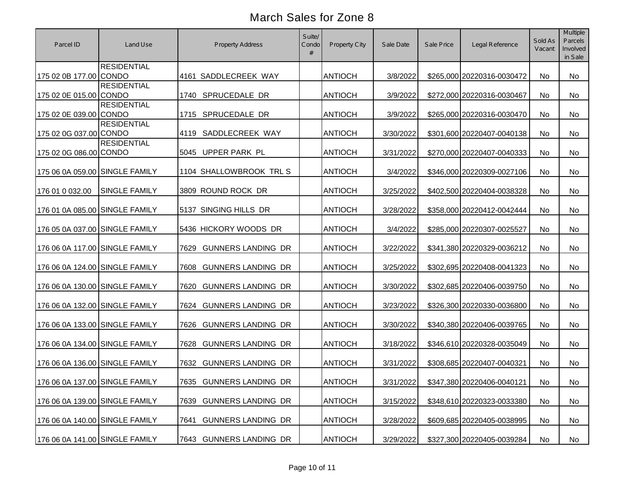| Parcel ID                      | Land Use             | <b>Property Address</b>           | Suite/<br>Condo | <b>Property City</b> | Sale Date | Sale Price | Legal Reference            | Sold As<br>Vacant | Multiple<br>Parcels<br>Involved<br>in Sale |
|--------------------------------|----------------------|-----------------------------------|-----------------|----------------------|-----------|------------|----------------------------|-------------------|--------------------------------------------|
| 175 02 0B 177.00 CONDO         | <b>RESIDENTIAL</b>   | 4161 SADDLECREEK WAY              |                 | <b>ANTIOCH</b>       | 3/8/2022  |            | \$265,000 20220316-0030472 | No                | <b>No</b>                                  |
| 175 02 0E 015.00 CONDO         | <b>RESIDENTIAL</b>   | 1740 SPRUCEDALE DR                |                 | <b>ANTIOCH</b>       | 3/9/2022  |            | \$272,000 20220316-0030467 | No                | <b>No</b>                                  |
| 175 02 0E 039.00 CONDO         | <b>RESIDENTIAL</b>   | 1715 SPRUCEDALE DR                |                 | <b>ANTIOCH</b>       | 3/9/2022  |            | \$265,000 20220316-0030470 | No                | <b>No</b>                                  |
| 175 02 0G 037.00 CONDO         | <b>RESIDENTIAL</b>   | SADDLECREEK WAY<br>4119           |                 | <b>ANTIOCH</b>       | 3/30/2022 |            | \$301,600 20220407-0040138 | No                | No                                         |
| 175 02 0G 086.00 CONDO         | <b>RESIDENTIAL</b>   | 5045 UPPER PARK PL                |                 | <b>ANTIOCH</b>       | 3/31/2022 |            | \$270,000 20220407-0040333 | No                | No                                         |
| 175 06 0A 059.00 SINGLE FAMILY |                      | 1104 SHALLOWBROOK TRL S           |                 | <b>ANTIOCH</b>       | 3/4/2022  |            | \$346,000 20220309-0027106 | No                | <b>No</b>                                  |
| 176 01 0 032.00                | <b>SINGLE FAMILY</b> | 3809 ROUND ROCK DR                |                 | <b>ANTIOCH</b>       | 3/25/2022 |            | \$402,500 20220404-0038328 | No                | No                                         |
| 176 01 0A 085.00 SINGLE FAMILY |                      | 5137 SINGING HILLS DR             |                 | <b>ANTIOCH</b>       | 3/28/2022 |            | \$358,000 20220412-0042444 | No                | <b>No</b>                                  |
| 176 05 0A 037.00 SINGLE FAMILY |                      | 5436 HICKORY WOODS DR             |                 | <b>ANTIOCH</b>       | 3/4/2022  |            | \$285,000 20220307-0025527 | No                | No                                         |
| 176 06 0A 117.00 SINGLE FAMILY |                      | <b>GUNNERS LANDING DR</b><br>7629 |                 | <b>ANTIOCH</b>       | 3/22/2022 |            | \$341,380 20220329-0036212 | No                | No                                         |
| 176 06 0A 124.00 SINGLE FAMILY |                      | <b>GUNNERS LANDING DR</b><br>7608 |                 | <b>ANTIOCH</b>       | 3/25/2022 |            | \$302,695 20220408-0041323 | No                | No                                         |
| 176 06 0A 130.00 SINGLE FAMILY |                      | <b>GUNNERS LANDING DR</b><br>7620 |                 | <b>ANTIOCH</b>       | 3/30/2022 |            | \$302,685 20220406-0039750 | <b>No</b>         | No                                         |
| 176 06 0A 132.00 SINGLE FAMILY |                      | <b>GUNNERS LANDING DR</b><br>7624 |                 | <b>ANTIOCH</b>       | 3/23/2022 |            | \$326,300 20220330-0036800 | No                | No                                         |
| 176 06 0A 133.00 SINGLE FAMILY |                      | <b>GUNNERS LANDING DR</b><br>7626 |                 | <b>ANTIOCH</b>       | 3/30/2022 |            | \$340,380 20220406-0039765 | No                | No                                         |
| 176 06 0A 134.00 SINGLE FAMILY |                      | <b>GUNNERS LANDING DR</b><br>7628 |                 | <b>ANTIOCH</b>       | 3/18/2022 |            | \$346,610 20220328-0035049 | No                | No                                         |
| 176 06 0A 136.00 SINGLE FAMILY |                      | <b>GUNNERS LANDING DR</b><br>7632 |                 | <b>ANTIOCH</b>       | 3/31/2022 |            | \$308,685 20220407-0040321 | No                | No                                         |
| 176 06 0A 137.00 SINGLE FAMILY |                      | 7635 GUNNERS LANDING DR           |                 | <b>ANTIOCH</b>       | 3/31/2022 |            | \$347,380 20220406-0040121 | No                | No                                         |
| 176 06 0A 139.00 SINGLE FAMILY |                      | 7639 GUNNERS LANDING DR           |                 | <b>ANTIOCH</b>       | 3/15/2022 |            | \$348,610 20220323-0033380 | No                | No                                         |
| 176 06 0A 140.00 SINGLE FAMILY |                      | <b>GUNNERS LANDING DR</b><br>7641 |                 | <b>ANTIOCH</b>       | 3/28/2022 |            | \$609,685 20220405-0038995 | No                | No                                         |
| 176 06 0A 141.00 SINGLE FAMILY |                      | 7643 GUNNERS LANDING DR           |                 | <b>ANTIOCH</b>       | 3/29/2022 |            | \$327,300 20220405-0039284 | No                | No                                         |